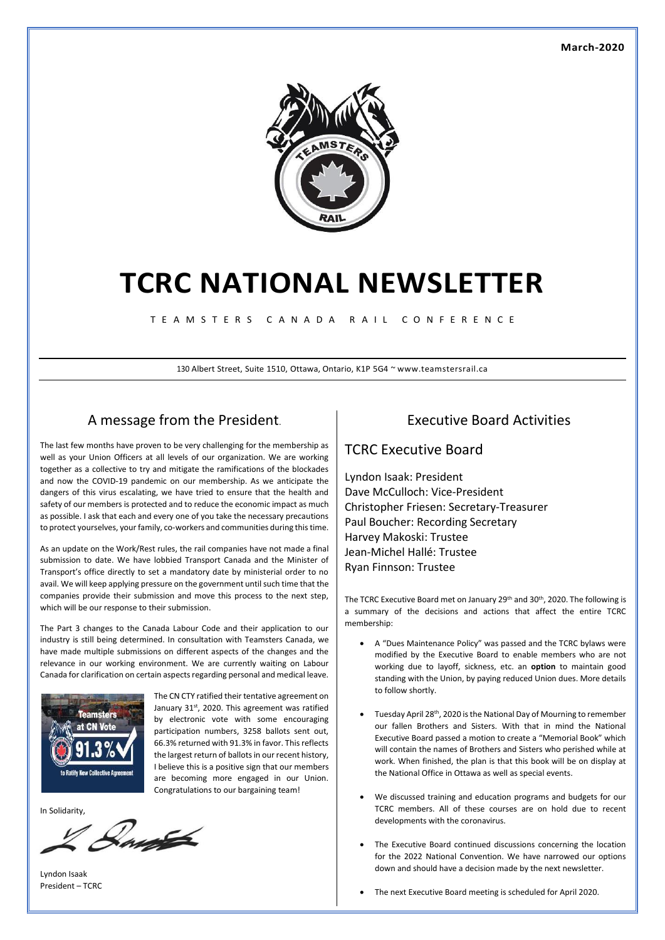

# **TCRC NATIONAL NEWSLETTER**

T E A M S T E R S C A N A D A R A I L C O N F E R E N C E

130 Albert Street, Suite 1510, Ottawa, Ontario, K1P 5G4 ~ www.teamstersrail.ca

### A message from the President.

The last few months have proven to be very challenging for the membership as well as your Union Officers at all levels of our organization. We are working together as a collective to try and mitigate the ramifications of the blockades and now the COVID-19 pandemic on our membership. As we anticipate the dangers of this virus escalating, we have tried to ensure that the health and safety of our members is protected and to reduce the economic impact as much as possible. I ask that each and every one of you take the necessary precautions to protect yourselves, your family, co-workers and communities during this time.

As an update on the Work/Rest rules, the rail companies have not made a final submission to date. We have lobbied Transport Canada and the Minister of Transport's office directly to set a mandatory date by ministerial order to no avail. We will keep applying pressure on the government until such time that the companies provide their submission and move this process to the next step, which will be our response to their submission.

The Part 3 changes to the Canada Labour Code and their application to our industry is still being determined. In consultation with Teamsters Canada, we have made multiple submissions on different aspects of the changes and the relevance in our working environment. We are currently waiting on Labour Canada for clarification on certain aspects regarding personal and medical leave.



The CN CTY ratified their tentative agreement on January 31st, 2020. This agreement was ratified by electronic vote with some encouraging participation numbers, 3258 ballots sent out, 66.3% returned with 91.3% in favor. This reflects the largest return of ballots in our recent history, I believe this is a positive sign that our members are becoming more engaged in our Union. Congratulations to our bargaining team!

In Solidarity,



Lyndon Isaak President – TCRC

### Executive Board Activities

#### TCRC Executive Board

Lyndon Isaak: President Dave McCulloch: Vice-President Christopher Friesen: Secretary-Treasurer Paul Boucher: Recording Secretary Harvey Makoski: Trustee Jean-Michel Hallé: Trustee Ryan Finnson: Trustee

The TCRC Executive Board met on January 29<sup>th</sup> and 30<sup>th</sup>, 2020. The following is a summary of the decisions and actions that affect the entire TCRC membership:

- A "Dues Maintenance Policy" was passed and the TCRC bylaws were modified by the Executive Board to enable members who are not working due to layoff, sickness, etc. an **option** to maintain good standing with the Union, by paying reduced Union dues. More details to follow shortly.
- Tuesday April 28<sup>th</sup>, 2020 is the National Day of Mourning to remember our fallen Brothers and Sisters. With that in mind the National Executive Board passed a motion to create a "Memorial Book" which will contain the names of Brothers and Sisters who perished while at work. When finished, the plan is that this book will be on display at the National Office in Ottawa as well as special events.
- We discussed training and education programs and budgets for our TCRC members. All of these courses are on hold due to recent developments with the coronavirus.
- The Executive Board continued discussions concerning the location for the 2022 National Convention. We have narrowed our options down and should have a decision made by the next newsletter.
- The next Executive Board meeting is scheduled for April 2020.